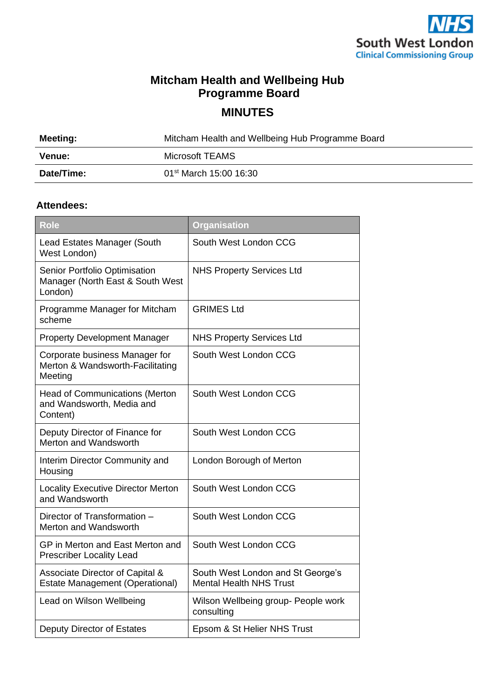

## **Mitcham Health and Wellbeing Hub Programme Board**

**MINUTES**

| Meeting:   | Mitcham Health and Wellbeing Hub Programme Board |
|------------|--------------------------------------------------|
| Venue:     | Microsoft TEAMS                                  |
| Date/Time: | 01 <sup>st</sup> March 15:00 16:30               |

## **Attendees:**

| <b>Role</b>                                                                    | <b>Organisation</b>                                                 |
|--------------------------------------------------------------------------------|---------------------------------------------------------------------|
| Lead Estates Manager (South<br>West London)                                    | South West London CCG                                               |
| Senior Portfolio Optimisation<br>Manager (North East & South West<br>London)   | <b>NHS Property Services Ltd</b>                                    |
| Programme Manager for Mitcham<br>scheme                                        | <b>GRIMES Ltd</b>                                                   |
| <b>Property Development Manager</b>                                            | <b>NHS Property Services Ltd</b>                                    |
| Corporate business Manager for<br>Merton & Wandsworth-Facilitating<br>Meeting  | South West London CCG                                               |
| <b>Head of Communications (Merton</b><br>and Wandsworth, Media and<br>Content) | South West London CCG                                               |
| Deputy Director of Finance for<br>Merton and Wandsworth                        | South West London CCG                                               |
| Interim Director Community and<br>Housing                                      | London Borough of Merton                                            |
| <b>Locality Executive Director Merton</b><br>and Wandsworth                    | South West London CCG                                               |
| Director of Transformation -<br>Merton and Wandsworth                          | South West London CCG                                               |
| GP in Merton and East Merton and<br><b>Prescriber Locality Lead</b>            | South West London CCG                                               |
| Associate Director of Capital &<br><b>Estate Management (Operational)</b>      | South West London and St George's<br><b>Mental Health NHS Trust</b> |
| Lead on Wilson Wellbeing                                                       | Wilson Wellbeing group- People work<br>consulting                   |
| Deputy Director of Estates                                                     | Epsom & St Helier NHS Trust                                         |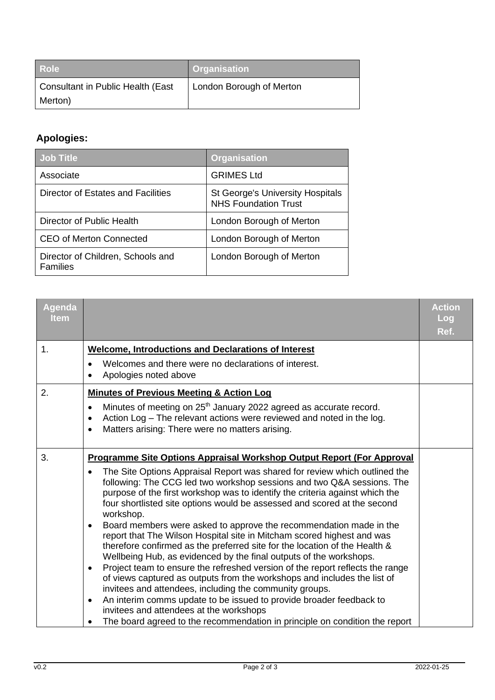| <b>Role</b>                              | <b>Organisation</b>      |
|------------------------------------------|--------------------------|
| <b>Consultant in Public Health (East</b> | London Borough of Merton |
| Merton)                                  |                          |

## **Apologies:**

| <b>Job Title</b>                                     | <b>Organisation</b>                                                    |  |
|------------------------------------------------------|------------------------------------------------------------------------|--|
| Associate                                            | <b>GRIMES Ltd</b>                                                      |  |
| Director of Estates and Facilities                   | <b>St George's University Hospitals</b><br><b>NHS Foundation Trust</b> |  |
| Director of Public Health                            | London Borough of Merton                                               |  |
| <b>CEO of Merton Connected</b>                       | London Borough of Merton                                               |  |
| Director of Children, Schools and<br><b>Families</b> | London Borough of Merton                                               |  |

| <b>Agenda</b><br><b>Item</b> |                                                                                                                                                                                                                                                                                                                               | <b>Action</b><br>Log<br>Ref. |
|------------------------------|-------------------------------------------------------------------------------------------------------------------------------------------------------------------------------------------------------------------------------------------------------------------------------------------------------------------------------|------------------------------|
| 1.                           | <b>Welcome, Introductions and Declarations of Interest</b>                                                                                                                                                                                                                                                                    |                              |
|                              | Welcomes and there were no declarations of interest.<br>Apologies noted above                                                                                                                                                                                                                                                 |                              |
| 2.                           | <b>Minutes of Previous Meeting &amp; Action Log</b>                                                                                                                                                                                                                                                                           |                              |
|                              | Minutes of meeting on 25 <sup>th</sup> January 2022 agreed as accurate record.<br>$\bullet$<br>Action Log - The relevant actions were reviewed and noted in the log.<br>$\bullet$<br>Matters arising: There were no matters arising.                                                                                          |                              |
| 3.                           | Programme Site Options Appraisal Workshop Output Report (For Approval                                                                                                                                                                                                                                                         |                              |
|                              | The Site Options Appraisal Report was shared for review which outlined the<br>following: The CCG led two workshop sessions and two Q&A sessions. The<br>purpose of the first workshop was to identify the criteria against which the<br>four shortlisted site options would be assessed and scored at the second<br>workshop. |                              |
|                              | Board members were asked to approve the recommendation made in the<br>$\bullet$<br>report that The Wilson Hospital site in Mitcham scored highest and was<br>therefore confirmed as the preferred site for the location of the Health &<br>Wellbeing Hub, as evidenced by the final outputs of the workshops.                 |                              |
|                              | Project team to ensure the refreshed version of the report reflects the range<br>$\bullet$<br>of views captured as outputs from the workshops and includes the list of<br>invitees and attendees, including the community groups.                                                                                             |                              |
|                              | An interim comms update to be issued to provide broader feedback to<br>$\bullet$                                                                                                                                                                                                                                              |                              |
|                              | invitees and attendees at the workshops<br>The board agreed to the recommendation in principle on condition the report                                                                                                                                                                                                        |                              |